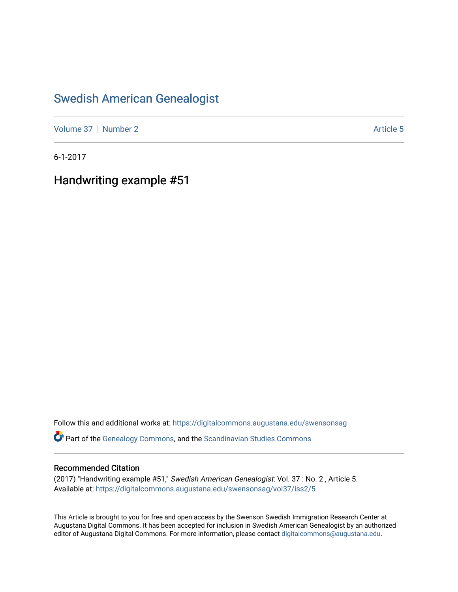## [Swedish American Genealogist](https://digitalcommons.augustana.edu/swensonsag)

[Volume 37](https://digitalcommons.augustana.edu/swensonsag/vol37) | [Number 2](https://digitalcommons.augustana.edu/swensonsag/vol37/iss2) Article 5

6-1-2017

Handwriting example #51

Follow this and additional works at: [https://digitalcommons.augustana.edu/swensonsag](https://digitalcommons.augustana.edu/swensonsag?utm_source=digitalcommons.augustana.edu%2Fswensonsag%2Fvol37%2Fiss2%2F5&utm_medium=PDF&utm_campaign=PDFCoverPages) 

Part of the [Genealogy Commons,](http://network.bepress.com/hgg/discipline/1342?utm_source=digitalcommons.augustana.edu%2Fswensonsag%2Fvol37%2Fiss2%2F5&utm_medium=PDF&utm_campaign=PDFCoverPages) and the [Scandinavian Studies Commons](http://network.bepress.com/hgg/discipline/485?utm_source=digitalcommons.augustana.edu%2Fswensonsag%2Fvol37%2Fiss2%2F5&utm_medium=PDF&utm_campaign=PDFCoverPages)

## Recommended Citation

(2017) "Handwriting example #51," Swedish American Genealogist: Vol. 37 : No. 2 , Article 5. Available at: [https://digitalcommons.augustana.edu/swensonsag/vol37/iss2/5](https://digitalcommons.augustana.edu/swensonsag/vol37/iss2/5?utm_source=digitalcommons.augustana.edu%2Fswensonsag%2Fvol37%2Fiss2%2F5&utm_medium=PDF&utm_campaign=PDFCoverPages) 

This Article is brought to you for free and open access by the Swenson Swedish Immigration Research Center at Augustana Digital Commons. It has been accepted for inclusion in Swedish American Genealogist by an authorized editor of Augustana Digital Commons. For more information, please contact [digitalcommons@augustana.edu.](mailto:digitalcommons@augustana.edu)